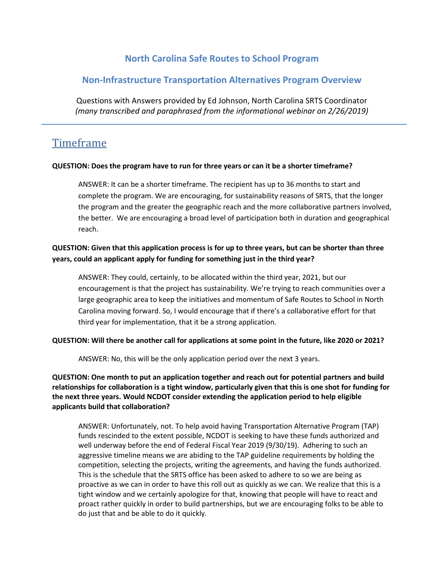# **North Carolina Safe Routes to School Program**

## **Non-Infrastructure Transportation Alternatives Program Overview**

Questions with Answers provided by Ed Johnson, North Carolina SRTS Coordinator *(many transcribed and paraphrased from the informational webinar on 2/26/2019)*

# Timeframe

#### **QUESTION: Does the program have to run for three years or can it be a shorter timeframe?**

ANSWER: It can be a shorter timeframe. The recipient has up to 36 months to start and complete the program. We are encouraging, for sustainability reasons of SRTS, that the longer the program and the greater the geographic reach and the more collaborative partners involved, the better. We are encouraging a broad level of participation both in duration and geographical reach.

## **QUESTION: Given that this application process is for up to three years, but can be shorter than three years, could an applicant apply for funding for something just in the third year?**

ANSWER: They could, certainly, to be allocated within the third year, 2021, but our encouragement is that the project has sustainability. We're trying to reach communities over a large geographic area to keep the initiatives and momentum of Safe Routes to School in North Carolina moving forward. So, I would encourage that if there's a collaborative effort for that third year for implementation, that it be a strong application.

#### **QUESTION: Will there be another call for applications at some point in the future, like 2020 or 2021?**

ANSWER: No, this will be the only application period over the next 3 years.

**QUESTION: One month to put an application together and reach out for potential partners and build relationships for collaboration is a tight window, particularly given that this is one shot for funding for the next three years. Would NCDOT consider extending the application period to help eligible applicants build that collaboration?**

ANSWER: Unfortunately, not. To help avoid having Transportation Alternative Program (TAP) funds rescinded to the extent possible, NCDOT is seeking to have these funds authorized and well underway before the end of Federal Fiscal Year 2019 (9/30/19). Adhering to such an aggressive timeline means we are abiding to the TAP guideline requirements by holding the competition, selecting the projects, writing the agreements, and having the funds authorized. This is the schedule that the SRTS office has been asked to adhere to so we are being as proactive as we can in order to have this roll out as quickly as we can. We realize that this is a tight window and we certainly apologize for that, knowing that people will have to react and proact rather quickly in order to build partnerships, but we are encouraging folks to be able to do just that and be able to do it quickly.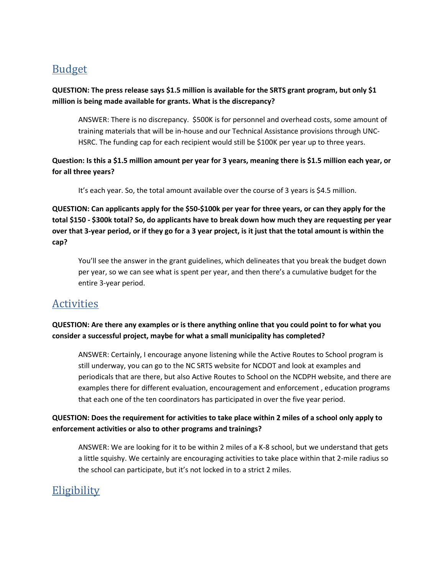# Budget

### **QUESTION: The press release says \$1.5 million is available for the SRTS grant program, but only \$1 million is being made available for grants. What is the discrepancy?**

ANSWER: There is no discrepancy. \$500K is for personnel and overhead costs, some amount of training materials that will be in-house and our Technical Assistance provisions through UNC-HSRC. The funding cap for each recipient would still be \$100K per year up to three years.

## **Question: Is this a \$1.5 million amount per year for 3 years, meaning there is \$1.5 million each year, or for all three years?**

It's each year. So, the total amount available over the course of 3 years is \$4.5 million.

**QUESTION: Can applicants apply for the \$50-\$100k per year for three years, or can they apply for the total \$150 - \$300k total? So, do applicants have to break down how much they are requesting per year over that 3-year period, or if they go for a 3 year project, is it just that the total amount is within the cap?** 

You'll see the answer in the grant guidelines, which delineates that you break the budget down per year, so we can see what is spent per year, and then there's a cumulative budget for the entire 3-year period.

# **Activities**

## **QUESTION: Are there any examples or is there anything online that you could point to for what you consider a successful project, maybe for what a small municipality has completed?**

ANSWER: Certainly, I encourage anyone listening while the Active Routes to School program is still underway, you can go to the NC SRTS website for NCDOT and look at examples and periodicals that are there, but also Active Routes to School on the NCDPH website, and there are examples there for different evaluation, encouragement and enforcement , education programs that each one of the ten coordinators has participated in over the five year period.

## **QUESTION: Does the requirement for activities to take place within 2 miles of a school only apply to enforcement activities or also to other programs and trainings?**

ANSWER: We are looking for it to be within 2 miles of a K-8 school, but we understand that gets a little squishy. We certainly are encouraging activities to take place within that 2-mile radius so the school can participate, but it's not locked in to a strict 2 miles.

# **Eligibility**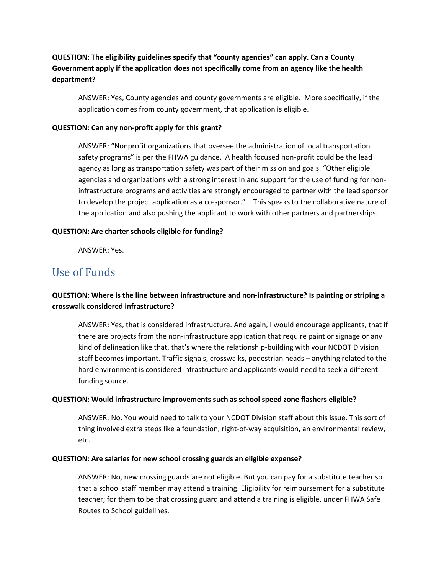## **QUESTION: The eligibility guidelines specify that "county agencies" can apply. Can a County Government apply if the application does not specifically come from an agency like the health department?**

ANSWER: Yes, County agencies and county governments are eligible. More specifically, if the application comes from county government, that application is eligible.

#### **QUESTION: Can any non-profit apply for this grant?**

ANSWER: "Nonprofit organizations that oversee the administration of local transportation safety programs" is per the FHWA guidance. A health focused non-profit could be the lead agency as long as transportation safety was part of their mission and goals. "Other eligible agencies and organizations with a strong interest in and support for the use of funding for noninfrastructure programs and activities are strongly encouraged to partner with the lead sponsor to develop the project application as a co-sponsor." – This speaks to the collaborative nature of the application and also pushing the applicant to work with other partners and partnerships.

#### **QUESTION: Are charter schools eligible for funding?**

ANSWER: Yes.

# Use of Funds

## **QUESTION: Where is the line between infrastructure and non-infrastructure? Is painting or striping a crosswalk considered infrastructure?**

ANSWER: Yes, that is considered infrastructure. And again, I would encourage applicants, that if there are projects from the non-infrastructure application that require paint or signage or any kind of delineation like that, that's where the relationship-building with your NCDOT Division staff becomes important. Traffic signals, crosswalks, pedestrian heads – anything related to the hard environment is considered infrastructure and applicants would need to seek a different funding source.

#### **QUESTION: Would infrastructure improvements such as school speed zone flashers eligible?**

ANSWER: No. You would need to talk to your NCDOT Division staff about this issue. This sort of thing involved extra steps like a foundation, right-of-way acquisition, an environmental review, etc.

#### **QUESTION: Are salaries for new school crossing guards an eligible expense?**

ANSWER: No, new crossing guards are not eligible. But you can pay for a substitute teacher so that a school staff member may attend a training. Eligibility for reimbursement for a substitute teacher; for them to be that crossing guard and attend a training is eligible, under FHWA Safe Routes to School guidelines.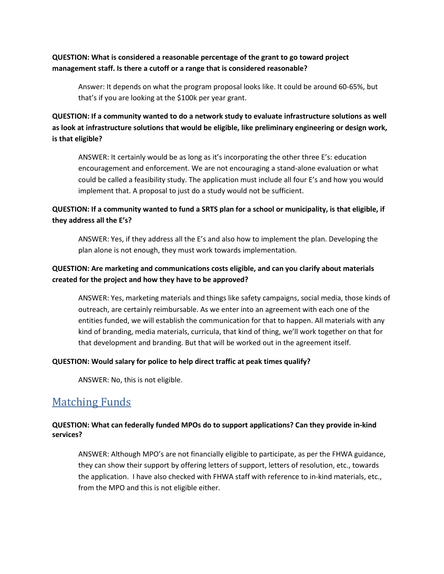#### **QUESTION: What is considered a reasonable percentage of the grant to go toward project management staff. Is there a cutoff or a range that is considered reasonable?**

Answer: It depends on what the program proposal looks like. It could be around 60-65%, but that's if you are looking at the \$100k per year grant.

## **QUESTION: If a community wanted to do a network study to evaluate infrastructure solutions as well as look at infrastructure solutions that would be eligible, like preliminary engineering or design work, is that eligible?**

ANSWER: It certainly would be as long as it's incorporating the other three E's: education encouragement and enforcement. We are not encouraging a stand-alone evaluation or what could be called a feasibility study. The application must include all four E's and how you would implement that. A proposal to just do a study would not be sufficient.

## **QUESTION: If a community wanted to fund a SRTS plan for a school or municipality, is that eligible, if they address all the E's?**

ANSWER: Yes, if they address all the E's and also how to implement the plan. Developing the plan alone is not enough, they must work towards implementation.

## **QUESTION: Are marketing and communications costs eligible, and can you clarify about materials created for the project and how they have to be approved?**

ANSWER: Yes, marketing materials and things like safety campaigns, social media, those kinds of outreach, are certainly reimbursable. As we enter into an agreement with each one of the entities funded, we will establish the communication for that to happen. All materials with any kind of branding, media materials, curricula, that kind of thing, we'll work together on that for that development and branding. But that will be worked out in the agreement itself.

#### **QUESTION: Would salary for police to help direct traffic at peak times qualify?**

ANSWER: No, this is not eligible.

# Matching Funds

#### **QUESTION: What can federally funded MPOs do to support applications? Can they provide in-kind services?**

ANSWER: Although MPO's are not financially eligible to participate, as per the FHWA guidance, they can show their support by offering letters of support, letters of resolution, etc., towards the application. I have also checked with FHWA staff with reference to in-kind materials, etc., from the MPO and this is not eligible either.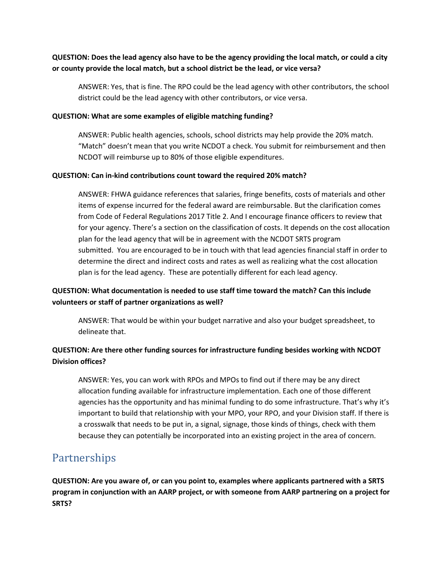### **QUESTION: Does the lead agency also have to be the agency providing the local match, or could a city or county provide the local match, but a school district be the lead, or vice versa?**

ANSWER: Yes, that is fine. The RPO could be the lead agency with other contributors, the school district could be the lead agency with other contributors, or vice versa.

#### **QUESTION: What are some examples of eligible matching funding?**

ANSWER: Public health agencies, schools, school districts may help provide the 20% match. "Match" doesn't mean that you write NCDOT a check. You submit for reimbursement and then NCDOT will reimburse up to 80% of those eligible expenditures.

#### **QUESTION: Can in-kind contributions count toward the required 20% match?**

ANSWER: FHWA guidance references that salaries, fringe benefits, costs of materials and other items of expense incurred for the federal award are reimbursable. But the clarification comes from Code of Federal Regulations 2017 Title 2. And I encourage finance officers to review that for your agency. There's a section on the classification of costs. It depends on the cost allocation plan for the lead agency that will be in agreement with the NCDOT SRTS program submitted. You are encouraged to be in touch with that lead agencies financial staff in order to determine the direct and indirect costs and rates as well as realizing what the cost allocation plan is for the lead agency. These are potentially different for each lead agency.

## **QUESTION: What documentation is needed to use staff time toward the match? Can this include volunteers or staff of partner organizations as well?**

ANSWER: That would be within your budget narrative and also your budget spreadsheet, to delineate that.

## **QUESTION: Are there other funding sources for infrastructure funding besides working with NCDOT Division offices?**

ANSWER: Yes, you can work with RPOs and MPOs to find out if there may be any direct allocation funding available for infrastructure implementation. Each one of those different agencies has the opportunity and has minimal funding to do some infrastructure. That's why it's important to build that relationship with your MPO, your RPO, and your Division staff. If there is a crosswalk that needs to be put in, a signal, signage, those kinds of things, check with them because they can potentially be incorporated into an existing project in the area of concern.

# Partnerships

**QUESTION: Are you aware of, or can you point to, examples where applicants partnered with a SRTS program in conjunction with an AARP project, or with someone from AARP partnering on a project for SRTS?**